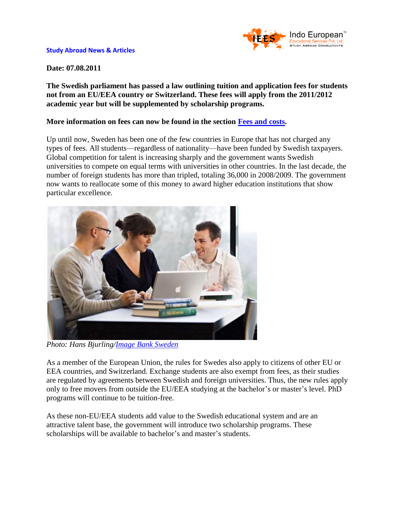

## **Date: 07.08.2011**

**The Swedish parliament has passed a law outlining tuition and application fees for students not from an EU/EEA country or Switzerland. These fees will apply from the 2011/2012 academic year but will be supplemented by scholarship programs.** 

## **More information on fees can now be found in the section [Fees and costs.](http://www.indoeuropean.in/sweden-form.aspx)**

Up until now, Sweden has been one of the few countries in Europe that has not charged any types of fees. All students—regardless of nationality—have been funded by Swedish taxpayers. Global competition for talent is increasing sharply and the government wants Swedish universities to compete on equal terms with universities in other countries. In the last decade, the number of foreign students has more than tripled, totaling 36,000 in 2008/2009. The government now wants to reallocate some of this money to award higher education institutions that show particular excellence.



*Photo: Hans Bjurling[/Image Bank Sweden](http://www.imagebank.sweden.se/)*

As a member of the European Union, the rules for Swedes also apply to citizens of other EU or EEA countries, and Switzerland. Exchange students are also exempt from fees, as their studies are regulated by agreements between Swedish and foreign universities. Thus, the new rules apply only to free movers from outside the EU/EEA studying at the bachelor's or master's level. PhD programs will continue to be tuition-free.

As these non-EU/EEA students add value to the Swedish educational system and are an attractive talent base, the government will introduce two scholarship programs. These scholarships will be available to bachelor's and master's students.